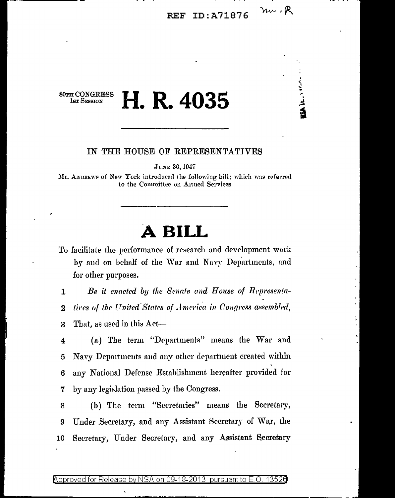### nu.R **REF ID: A71876**

**ISA IL ANGELE** 

**80TH CONGRESS 1sr SESSION** 

# H. R. 4035

### IN THE HOUSE OF REPRESENTATIVES

Јтме 30, 1947

Mr. ANDREWS of New York introduced the following bill; which was referred to the Committee on Armed Services

## A BILL

To facilitate the performance of research and development work by and on behalf of the War and Navy Departments, and for other purposes.

Be it enacted by the Senate and House of Representa- $\mathbf{1}$ tives of the United States of America in Congress assembled,  $\overline{2}$ 

That, as used in this Act-3

(a) The term "Departments" means the War and 4 Navy Departments and any other department created within 5 any National Defense Establishment hereafter provided for 6 by any legislation passed by the Congress. 7

(b) The term "Secretaries" means the Secretary, 8 Under Secretary, and any Assistant Secretary of War, the 9 Secretary, Under Secretary, and any Assistant Secretary 10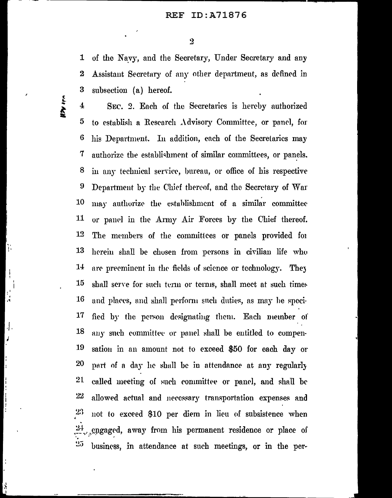$\overline{2}$ 

of the Navy, and the Secretary, Under Secretary and any  $\mathbf{1}$  $\bf{2}$ Assistant Secretary of any other department, as defined in 3 subsection (a) hereof.

WW IPA

Ţ.

 $\overline{\mathbf{1}}$ SEC. 2. Each of the Secretaries is hereby authorized 5 to establish a Research Advisory Committee, or panel, for 6 his Department. In addition, each of the Secretaries may 7 authorize the establishment of similar committees, or panels. 8 in any technical service, bureau, or office of his respective Department by the Chief thereof, and the Secretary of War 9 10 may authorize the establishment of a similar committee 11 or panel in the Army Air Forces by the Chief thereof.  $12$ The members of the committees or panels provided for 13 herein shall be chosen from persons in civilian life who  $14$ are preeminent in the fields of science or technology. They 15 shall serve for such term or terms, shall meet at such times **16** and places, and shall perform such duties, as may be speci-17 fied by the person designating them. Each member of 18 any such committee or panel shall be entitled to compen-19 sation in an amount not to exceed \$50 for each day or 20 part of a day he shall be in attendance at any regularly  $21$ called meeting of such committee or panel, and shall be  $22\,$ allowed actual and necessary transportation expenses and 23 not to exceed \$10 per diem in lieu of subsistence when  $24$ engaged, away from his permanent residence or place of 25 business, in attendance at such meetings, or in the per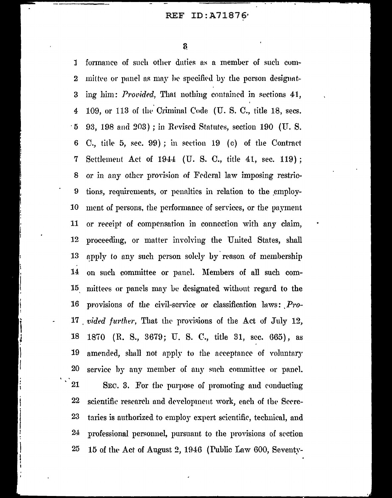$\bf{8}$ 

formance of such other duties as a member of such com- $\mathbf{I}$ mittee or panel as may be specified by the person designat- $\overline{2}$ ing him: Provided, That nothing contained in sections 41, 3 109, or 113 of the Criminal Code (U.S.C., title 18, secs.  $\overline{4}$ 93, 198 and 203); in Revised Statutes, section 190 (U.S. ี : 5 C., title 5, sec. 99); in section 19 (c) of the Contract 6 Settlement Act of 1944 (U. S. C., title 41, sec. 119);  $\overline{7}$ or in any other provision of Federal law imposing restric-8  $\boldsymbol{9}$ tions, requirements, or penalties in relation to the employ-10 ment of persons, the performance of services, or the payment 11 or receipt of compensation in connection with any claim, 12 proceeding, or matter involving the United States, shall 13 apply to any such person solely by reason of membership 14 on such committee or panel. Members of all such com-15 mittees or panels may be designated without regard to the 16 provisions of the civil-service or classification laws: Pro-. vided further, That the provisions of the Act of July 12, 17 18 (R. S., 3679; U. S. C., title 31, sec. 665), as 1870 19 amended, shall not apply to the acceptance of voluntary 20 service by any member of any such committee or panel. 21 SEC. 3. For the purpose of promoting and conducting 22 scientific rescarch and development work, each of the Secre-23 taries is authorized to employ expert scientific, technical, and  $24$ professional personnel, pursuant to the provisions of section 15 of the Act of August 2, 1946 (Public Law 600, Seventy-25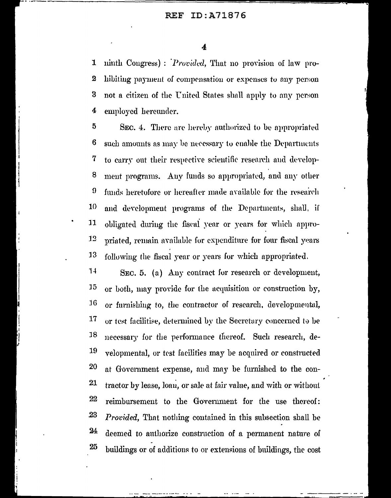#### ID:A71876 **REF**

4

ninth Congress): *Provided*, That no provision of law pro-1  $\bf{2}$ hibiting payment of compensation or expenses to any person not a citizen of the United States shall apply to any person 3 employed hereunder. 4

5 SEC. 4. There are hereby authorized to be appropriated 6 such amounts as may be necessary to enable the Departments 7 to carry out their respective scientific research and develop-8 ment programs. Any funds so appropriated, and any other funds heretofore or hereafter made available for the research  $\boldsymbol{\vartheta}$ 10 and development programs of the Departments, shall, if 11 obligated during the fiscal year or years for which appro-12 priated, remain available for expenditure for four fiscal years 13 following the fiscal year or years for which appropriated.

 $14$ SEC. 5. (a) Any contract for research or development, 15 or both, may provide for the acquisition or construction by, 16 or furnishing to, the contractor of research, developmental, 17 or test facilitise, determined by the Secretary concerned to be 18 necessary for the performance thereof. Such research, de-19 velopmental, or test facilities may be acquired or constructed 20 at Government expense, and may be furnished to the con-21 tractor by lease, loan, or sale at fair value, and with or without 22 reimbursement to the Government for the use thereof: 23 *Provided*, That nothing contained in this subsection shall be 24 deemed to authorize construction of a permanent nature of 25 buildings or of additions to or extensions of buildings, the cost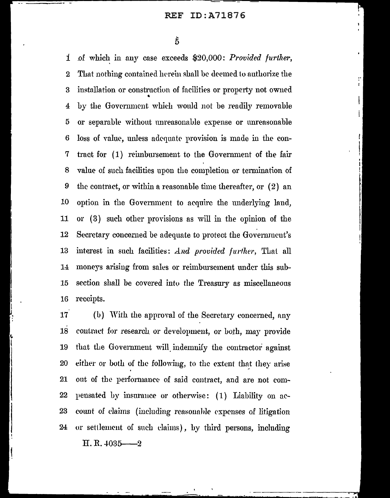$\tilde{5}$ 

*i* of which in any case exceeds \$20,000: *Provided further,* 2 That nothing contained herein shall be deemed to authorize the 3 installation or construction of facilities or property not owned • 4 by the Government which would not be readily removable 5 or separable without unreasonable expense or unreasonable 6 loss of Yalue, unless adequate- provision is made in the con-7 tract for (1) reimbursement to the Government of the fair 8 value of such facilities upon the completion or termination of 9 the contract, or within a reasonable time thereafter, or ( 2) an 10 option in the Government to acquire the underlying land, 11 or ( 3) such other proyisions as will in the opinion of the 12 Secretary concerned be adequate to protect the Government's 13 interest in such facilities: *And provided further*, That all 14 moneys arising from sales or reimbursement under this suh-15 section shall be covered into the Treasury as miscellaneous 16 receipts.

17 (b) With the approval of the Secretary concerned, any 18 contract for research or development, or both, may provide 19 that the Government will indemnify the contractor against 20 either or both of the following, to the extent that they arise 21 out of the performance of said contract, and are not com-22 pensated by insurance or otherwise:  $(1)$  Liability on ac-23 count of claims (including reasonable expenses of litigation 24 or settlement of such claims), by third persons, including

 $H. R. 4035 - 2$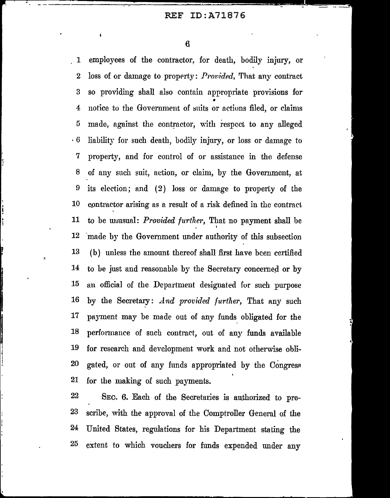6

I

1 employees of the contractor, for death, bodily injury, or 2 loss of or damage to property: *Provided*, That any contract 3 so providing shall also contain appropriate provisions for • 4 notice to the Government of snits or actions filed, or claims 5 made, against the contractor, with respect to any alleged · 6 liability for such death, bodily injury, or loss or damage to 7 property, and for control of 01· assistance in the defense 8 of any such suit, action, or claim, by the Government, at 9 its election; and (2) loss or damage to property of the 10 contractor arising as a result of a risk defined in the contract. 11 to be unusual: *Provided further*, That no payment shall be I 12 made by the Government under authority of this subsection  $13$  (b) unless the amount thereof shall first have been certified 14 to be just and reasonable by the Secretary concerned or by 15 mt official of the Department designated for such purpose 16 by the Secretary: *And provided further,* That any such 17 payment may be made out of any funds obligated for the 18 performance of such contract, out of any funds available 19 for research and development work and not otherwise obli-20 gated, or out of any funds appropriated by the Congress 21 for the making of such payments.

22 SEC. 6. Each of the Secretaries is authorized to pre-23 scribe, with the approval of the Comptroller General of the 24 United States, regulations for his Department stating the 25 extent to which vouchers for funds expended imder any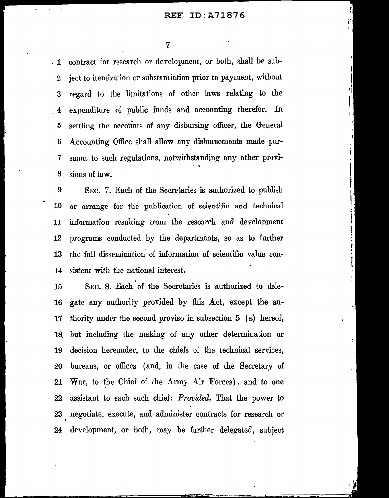ï.

Ţ.

. 1 contract for research or dcYelopmcnt, or both, shall be sub-2 ject to itemization or substantiation prior to payment, without 3 regard to the limitations of other laws relating to the 4 expenditure of public funds and accounting therefor. In 5 settling the arcoiints of any disbursing officer, the General 6 Accounting Office shall allow any disbursements made pur-7 suant to such regulations, notwithstanding any other provi-8 sious of law.

9 SEC. 7. Each of the Secretaries is authorized to publish 10 or arrange for the publication of scientific and technical 11 information resulting from the research and development 12 programs conducted by the departments, so as to further 13 the full dissemination of information of scientific value con-14 sistent with the national interest.

15 SEC. 8. Each of the Secretaries is authorized to dele-16 gate any authority provided by this Act, except the au-17 thority under the seeond proviso in subsection 5 (a) hereof, 18. but including the making of any other determination or 19 decision hereunder, to the chiefs of the technical services, 20 bureaus, or offices (and, in the case of the Secretary of 21 War, to the Chief of the  $\Lambda$ rmy Air Forces), and to one 22 assistant to each such chief: *Provided*, That the power to 23 negotiate, execute, and administer contracts for research or 24 development, or both, may be further delegated, subject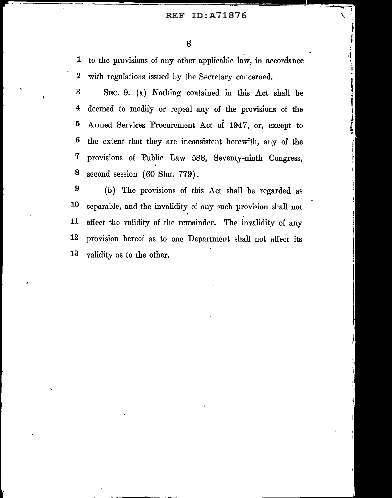## REF ID:A71876

---~-\

 $\sqrt{2}$ 

I • ' II

1 to the provisions of any other applicable 1aw, in accordance 2 with regulations issued by the Secretary concerned.

3 SEC. 9. (a) Nothing contained in this  $\Lambda$ ct shall be 4 deemed to modify or repeal any of the provisions of the 5 Armed Services Procurement Act of 1947, or, except to 6 the extent that they are inconsistent herewith, any of the 7 provisions of Public Law 588, Seventy-ninth Congress, 8 second session (60 Stat. 779).

9 (h) The provisions of this Act shall be regarded as 10 separable, and the invalidity of any such provision shall not 11 affect the validity of the remainder. The invalidity of any 12 provision hereof as to one Dcpnrtmeut shall not affect its 13 validity as to the other.

--~--- --.-- -